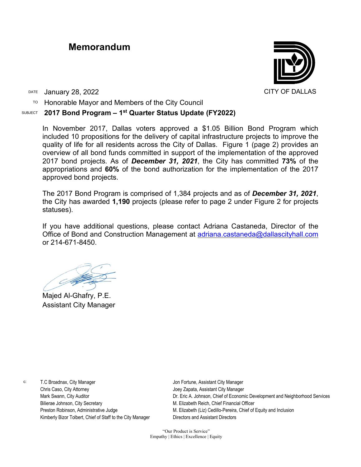## **Memorandum**



DATE January 28, 2022 CITY OF DALLAS

TO Honorable Mayor and Members of the City Council

## SUBJECT **2017 Bond Program – 1st Quarter Status Update (FY2022)**

In November 2017, Dallas voters approved a \$1.05 Billion Bond Program which included 10 propositions for the delivery of capital infrastructure projects to improve the quality of life for all residents across the City of Dallas. Figure 1 (page 2) provides an overview of all bond funds committed in support of the implementation of the approved 2017 bond projects. As of *December 31, 2021*, the City has committed **73%** of the appropriations and **60%** of the bond authorization for the implementation of the 2017 approved bond projects.

The 2017 Bond Program is comprised of 1,384 projects and as of *December 31, 2021*, the City has awarded **1,190** projects (please refer to page 2 under Figure 2 for projects statuses).

If you have additional questions, please contact Adriana Castaneda, Director of the Office of Bond and Construction Management at [adriana.castaneda@dallascityhall.com](mailto:adriana.castaneda@dallascityhall.com) or 214-671-8450.

Majed Al-Ghafry, P.E. Assistant City Manager

c: T.C Broadnax, City Manager Chris Caso, City Attorney Mark Swann, City Auditor Bilierae Johnson, City Secretary Preston Robinson, Administrative Judge Kimberly Bizor Tolbert, Chief of Staff to the City Manager Jon Fortune, Assistant City Manager Joey Zapata, Assistant City Manager Dr. Eric A. Johnson, Chief of Economic Development and Neighborhood Services M. Elizabeth Reich, Chief Financial Officer M. Elizabeth (Liz) Cedillo-Pereira, Chief of Equity and Inclusion Directors and Assistant Directors

"Our Product is Service" Empathy | Ethics | Excellence | Equity